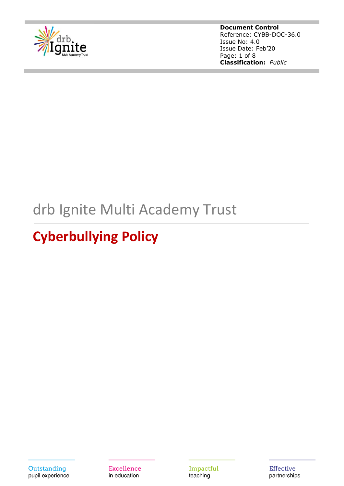

**Document Control** Reference: CYBB-DOC-36.0 Issue No: 4.0 Issue Date: Feb'20 Page: 1 of 8 **Classification:** *Public*

# drb Ignite Multi Academy Trust

# **Cyberbullying Policy**

Outstanding pupil experience **Excellence** in education

Impactful teaching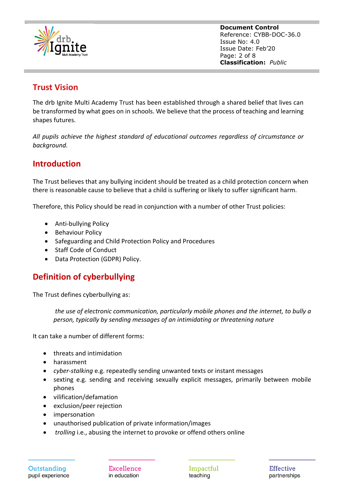

**Document Control** Reference: CYBB-DOC-36.0 Issue No: 4.0 Issue Date: Feb'20 Page: 2 of 8 **Classification:** *Public*

## **Trust Vision**

The drb Ignite Multi Academy Trust has been established through a shared belief that lives can be transformed by what goes on in schools. We believe that the process of teaching and learning shapes futures.

*All pupils achieve the highest standard of educational outcomes regardless of circumstance or background.*

## **Introduction**

The Trust believes that any bullying incident should be treated as a child protection concern when there is reasonable cause to believe that a child is suffering or likely to suffer significant harm.

Therefore, this Policy should be read in conjunction with a number of other Trust policies:

- Anti-bullying Policy
- Behaviour Policy
- Safeguarding and Child Protection Policy and Procedures
- Staff Code of Conduct
- Data Protection (GDPR) Policy.

## **Definition of cyberbullying**

The Trust defines cyberbullying as:

*the use of electronic communication, particularly mobile phones and the internet, to bully a person, typically by sending messages of an intimidating or threatening nature*

It can take a number of different forms:

- threats and intimidation
- harassment
- *cyber-stalking* e.g. repeatedly sending unwanted texts or instant messages
- sexting e.g. sending and receiving sexually explicit messages, primarily between mobile phones
- vilification/defamation
- exclusion/peer rejection
- impersonation
- unauthorised publication of private information/images
- *trolling* i.e., abusing the internet to provoke or offend others online

**Excellence** in education

Impactful teaching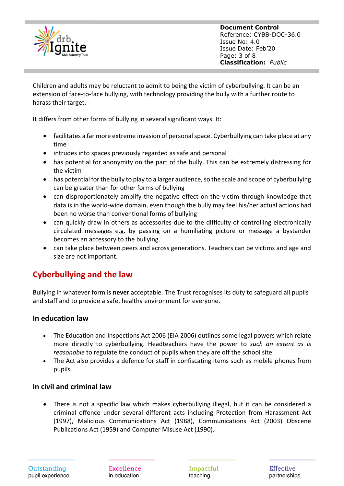

**Document Control** Reference: CYBB-DOC-36.0 Issue No: 4.0 Issue Date: Feb'20 Page: 3 of 8 **Classification:** *Public*

Children and adults may be reluctant to admit to being the victim of cyberbullying. It can be an extension of face-to-face bullying, with technology providing the bully with a further route to harass their target.

It differs from other forms of bullying in several significant ways. It:

- facilitates a far more extreme invasion of personal space. Cyberbullying can take place at any time
- intrudes into spaces previously regarded as safe and personal
- has potential for anonymity on the part of the bully. This can be extremely distressing for the victim
- has potential for the bully to play to a larger audience, so the scale and scope of cyberbullying can be greater than for other forms of bullying
- can disproportionately amplify the negative effect on the victim through knowledge that data is in the world-wide domain, even though the bully may feel his/her actual actions had been no worse than conventional forms of bullying
- can quickly draw in others as accessories due to the difficulty of controlling electronically circulated messages e.g. by passing on a humiliating picture or message a bystander becomes an accessory to the bullying.
- can take place between peers and across generations. Teachers can be victims and age and size are not important.

# **Cyberbullying and the law**

Bullying in whatever form is **never** acceptable. The Trust recognises its duty to safeguard all pupils and staff and to provide a safe, healthy environment for everyone.

#### **In education law**

- The Education and Inspections Act 2006 (EIA 2006) outlines some legal powers which relate more directly to cyberbullying. Headteachers have the power to *such an extent as is reasonable* to regulate the conduct of pupils when they are off the school site.
- The Act also provides a defence for staff in confiscating items such as mobile phones from pupils.

#### **In civil and criminal law**

• There is not a specific law which makes cyberbullying illegal, but it can be considered a criminal offence under several different acts including Protection from Harassment Act (1997), Malicious Communications Act (1988), Communications Act (2003) Obscene Publications Act (1959) and Computer Misuse Act (1990).

**Excellence** in education

Impactful teaching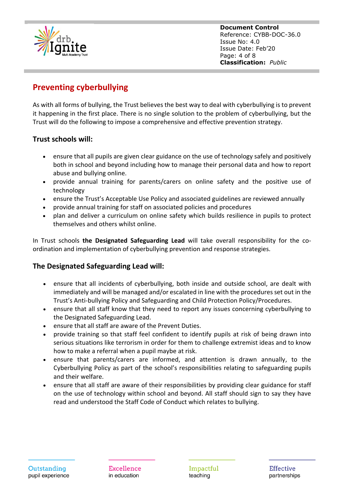

**Document Control** Reference: CYBB-DOC-36.0 Issue No: 4.0 Issue Date: Feb'20 Page: 4 of 8 **Classification:** *Public*

# **Preventing cyberbullying**

As with all forms of bullying, the Trust believes the best way to deal with cyberbullying is to prevent it happening in the first place. There is no single solution to the problem of cyberbullying, but the Trust will do the following to impose a comprehensive and effective prevention strategy.

## **Trust schools will:**

- ensure that all pupils are given clear guidance on the use of technology safely and positively both in school and beyond including how to manage their personal data and how to report abuse and bullying online.
- provide annual training for parents/carers on online safety and the positive use of technology
- ensure the Trust's Acceptable Use Policy and associated guidelines are reviewed annually
- provide annual training for staff on associated policies and procedures
- plan and deliver a curriculum on online safety which builds resilience in pupils to protect themselves and others whilst online.

In Trust schools **the Designated Safeguarding Lead** will take overall responsibility for the coordination and implementation of cyberbullying prevention and response strategies.

#### **The Designated Safeguarding Lead will:**

- ensure that all incidents of cyberbullying, both inside and outside school, are dealt with immediately and will be managed and/or escalated in line with the procedures set out in the Trust's Anti-bullying Policy and Safeguarding and Child Protection Policy/Procedures.
- ensure that all staff know that they need to report any issues concerning cyberbullying to the Designated Safeguarding Lead.
- ensure that all staff are aware of the Prevent Duties.
- provide training so that staff feel confident to identify pupils at risk of being drawn into serious situations like terrorism in order for them to challenge extremist ideas and to know how to make a referral when a pupil maybe at risk.
- ensure that parents/carers are informed, and attention is drawn annually, to the Cyberbullying Policy as part of the school's responsibilities relating to safeguarding pupils and their welfare.
- ensure that all staff are aware of their responsibilities by providing clear guidance for staff on the use of technology within school and beyond. All staff should sign to say they have read and understood the Staff Code of Conduct which relates to bullying.

**Excellence** in education

Impactful teaching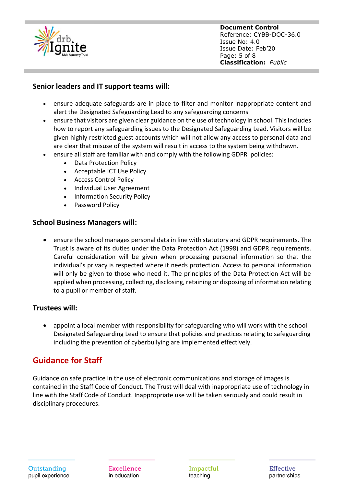

**Document Control** Reference: CYBB-DOC-36.0 Issue No: 4.0 Issue Date: Feb'20 Page: 5 of 8 **Classification:** *Public*

### **Senior leaders and IT support teams will:**

- ensure adequate safeguards are in place to filter and monitor inappropriate content and alert the Designated Safeguarding Lead to any safeguarding concerns
- ensure that visitors are given clear guidance on the use of technology in school. This includes how to report any safeguarding issues to the Designated Safeguarding Lead. Visitors will be given highly restricted guest accounts which will not allow any access to personal data and are clear that misuse of the system will result in access to the system being withdrawn.
- ensure all staff are familiar with and comply with the following GDPR policies:
	- Data Protection Policy
	- Acceptable ICT Use Policy
	- Access Control Policy
	- Individual User Agreement
	- Information Security Policy
	- Password Policy

#### **School Business Managers will:**

• ensure the school manages personal data in line with statutory and GDPR requirements. The Trust is aware of its duties under the Data Protection Act (1998) and GDPR requirements. Careful consideration will be given when processing personal information so that the individual's privacy is respected where it needs protection. Access to personal information will only be given to those who need it. The principles of the Data Protection Act will be applied when processing, collecting, disclosing, retaining or disposing of information relating to a pupil or member of staff.

#### **Trustees will:**

• appoint a local member with responsibility for safeguarding who will work with the school Designated Safeguarding Lead to ensure that policies and practices relating to safeguarding including the prevention of cyberbullying are implemented effectively.

## **Guidance for Staff**

Guidance on safe practice in the use of electronic communications and storage of images is contained in the Staff Code of Conduct. The Trust will deal with inappropriate use of technology in line with the Staff Code of Conduct. Inappropriate use will be taken seriously and could result in disciplinary procedures.

Outstanding pupil experience

**Excellence** in education

Impactful teaching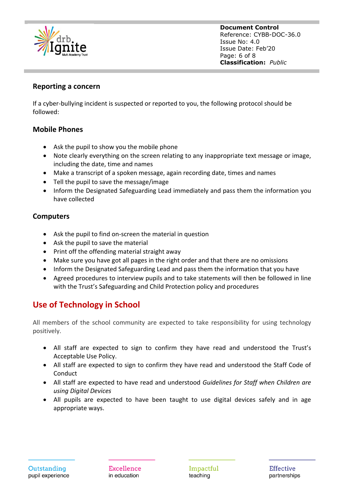

**Document Control** Reference: CYBB-DOC-36.0 Issue No: 4.0 Issue Date: Feb'20 Page: 6 of 8 **Classification:** *Public*

#### **Reporting a concern**

If a cyber-bullying incident is suspected or reported to you, the following protocol should be followed:

#### **Mobile Phones**

- Ask the pupil to show you the mobile phone
- Note clearly everything on the screen relating to any inappropriate text message or image, including the date, time and names
- Make a transcript of a spoken message, again recording date, times and names
- Tell the pupil to save the message/image
- Inform the Designated Safeguarding Lead immediately and pass them the information you have collected

#### **Computers**

- Ask the pupil to find on-screen the material in question
- Ask the pupil to save the material
- Print off the offending material straight away
- Make sure you have got all pages in the right order and that there are no omissions
- Inform the Designated Safeguarding Lead and pass them the information that you have
- Agreed procedures to interview pupils and to take statements will then be followed in line with the Trust's Safeguarding and Child Protection policy and procedures

## **Use of Technology in School**

All members of the school community are expected to take responsibility for using technology positively.

- All staff are expected to sign to confirm they have read and understood the Trust's Acceptable Use Policy.
- All staff are expected to sign to confirm they have read and understood the Staff Code of **Conduct**
- All staff are expected to have read and understood *Guidelines for Staff when Children are using Digital Devices*
- All pupils are expected to have been taught to use digital devices safely and in age appropriate ways.

**Excellence** in education

Impactful teaching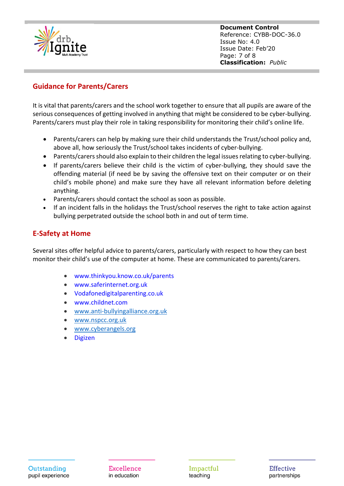

**Document Control** Reference: CYBB-DOC-36.0 Issue No: 4.0 Issue Date: Feb'20 Page: 7 of 8 **Classification:** *Public*

## **Guidance for Parents/Carers**

It is vital that parents/carers and the school work together to ensure that all pupils are aware of the serious consequences of getting involved in anything that might be considered to be cyber-bullying. Parents/carers must play their role in taking responsibility for monitoring their child's online life.

- Parents/carers can help by making sure their child understands the Trust/school policy and, above all, how seriously the Trust/school takes incidents of cyber-bullying.
- Parents/carers should also explain to their children the legal issues relating to cyber-bullying.
- If parents/carers believe their child is the victim of cyber-bullying, they should save the offending material (if need be by saving the offensive text on their computer or on their child's mobile phone) and make sure they have all relevant information before deleting anything.
- Parents/carers should contact the school as soon as possible.
- If an incident falls in the holidays the Trust/school reserves the right to take action against bullying perpetrated outside the school both in and out of term time.

## **E-Safety at Home**

Several sites offer helpful advice to parents/carers, particularly with respect to how they can best monitor their child's use of the computer at home. These are communicated to parents/carers.

- www.thinkyou.know.co.uk/parents
- www.saferinternet.org.uk
- Vodafonedigitalparenting.co.uk
- www.childnet.com
- [www.anti-bullyingalliance.org.uk](http://www.anti-bullyingalliance.org.uk/)
- [www.nspcc.org.uk](http://www.nspcc.org.uk/)
- [www.cyberangels.org](http://www.cyberangels.org/)
- Digizen

**Excellence** in education

Impactful teaching